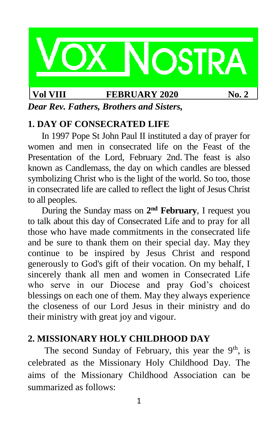# **OSTR**

#### **Vol VIII FEBRUARY 2020 No. 2**

*Dear Rev. Fathers, Brothers and Sisters,*

#### **1. DAY OF CONSECRATED LIFE**

In 1997 Pope St John Paul II instituted a day of prayer for women and men in consecrated life on the Feast of the Presentation of the Lord, February 2nd. The feast is also known as Candlemass, the day on which candles are blessed symbolizing Christ who is the light of the world. So too, those in consecrated life are called to reflect the light of Jesus Christ to all peoples.

During the Sunday mass on **2 nd February**, I request you to talk about this day of Consecrated Life and to pray for all those who have made commitments in the consecrated life and be sure to thank them on their special day. May they continue to be inspired by Jesus Christ and respond generously to God's gift of their vocation. On my behalf, I sincerely thank all men and women in Consecrated Life who serve in our Diocese and pray God's choicest blessings on each one of them. May they always experience the closeness of our Lord Jesus in their ministry and do their ministry with great joy and vigour.

#### **2. MISSIONARY HOLY CHILDHOOD DAY**

The second Sunday of February, this year the  $9<sup>th</sup>$ , is celebrated as the Missionary Holy Childhood Day. The aims of the Missionary Childhood Association can be summarized as follows: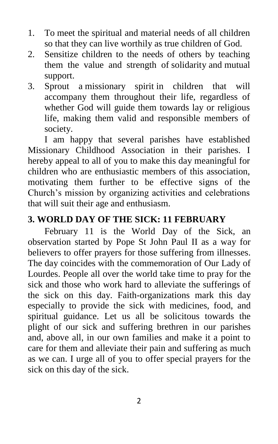- 1. To meet the spiritual and material needs of all children so that they can live worthily as true children of God.
- 2. Sensitize children to the needs of others by teaching them the value and strength of solidarity and mutual support.
- 3. Sprout a missionary spirit in children that will accompany them throughout their life, regardless of whether God will guide them towards lay or religious life, making them valid and responsible members of society.

I am happy that several parishes have established Missionary Childhood Association in their parishes. I hereby appeal to all of you to make this day meaningful for children who are enthusiastic members of this association, motivating them further to be effective signs of the Church's mission by organizing activities and celebrations that will suit their age and enthusiasm.

### **3. WORLD DAY OF THE SICK: 11 FEBRUARY**

February 11 is the World Day of the Sick, an observation started by Pope St John Paul II as a way for believers to offer prayers for those suffering from illnesses. The day coincides with the commemoration of Our Lady of Lourdes. People all over the world take time to pray for the sick and those who work hard to alleviate the sufferings of the sick on this day. Faith-organizations mark this day especially to provide the sick with medicines, food, and spiritual guidance. Let us all be solicitous towards the plight of our sick and suffering brethren in our parishes and, above all, in our own families and make it a point to care for them and alleviate their pain and suffering as much as we can. I urge all of you to offer special prayers for the sick on this day of the sick.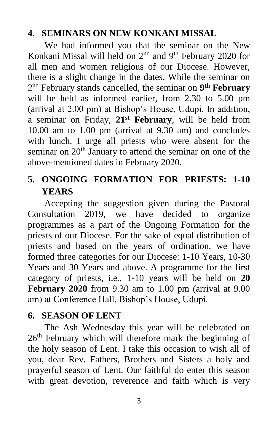### **4. SEMINARS ON NEW KONKANI MISSAL**

We had informed you that the seminar on the New Konkani Missal will held on  $2<sup>nd</sup>$  and  $9<sup>th</sup>$  February 2020 for all men and women religious of our Diocese. However, there is a slight change in the dates. While the seminar on 2 nd February stands cancelled, the seminar on **9 th February** will be held as informed earlier, from 2.30 to 5.00 pm (arrival at 2.00 pm) at Bishop's House, Udupi. In addition, a seminar on Friday, **21st February**, will be held from 10.00 am to 1.00 pm (arrival at 9.30 am) and concludes with lunch. I urge all priests who were absent for the seminar on 20<sup>th</sup> January to attend the seminar on one of the above-mentioned dates in February 2020.

# **5. ONGOING FORMATION FOR PRIESTS: 1-10 YEARS**

Accepting the suggestion given during the Pastoral Consultation 2019, we have decided to organize programmes as a part of the Ongoing Formation for the priests of our Diocese. For the sake of equal distribution of priests and based on the years of ordination, we have formed three categories for our Diocese: 1-10 Years, 10-30 Years and 30 Years and above. A programme for the first category of priests, i.e., 1-10 years will be held on **20 February 2020** from 9.30 am to 1.00 pm (arrival at 9.00 am) at Conference Hall, Bishop's House, Udupi.

### **6. SEASON OF LENT**

The Ash Wednesday this year will be celebrated on 26<sup>th</sup> February which will therefore mark the beginning of the holy season of Lent. I take this occasion to wish all of you, dear Rev. Fathers, Brothers and Sisters a holy and prayerful season of Lent. Our faithful do enter this season with great devotion, reverence and faith which is very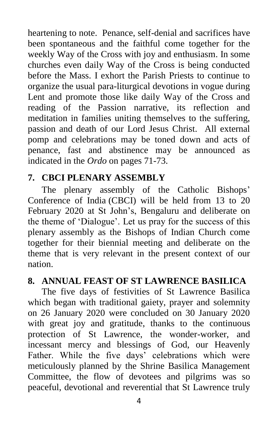heartening to note. Penance, self-denial and sacrifices have been spontaneous and the faithful come together for the weekly Way of the Cross with joy and enthusiasm. In some churches even daily Way of the Cross is being conducted before the Mass. I exhort the Parish Priests to continue to organize the usual para-liturgical devotions in vogue during Lent and promote those like daily Way of the Cross and reading of the Passion narrative, its reflection and meditation in families uniting themselves to the suffering, passion and death of our Lord Jesus Christ. All external pomp and celebrations may be toned down and acts of penance, fast and abstinence may be announced as indicated in the *Ordo* on pages 71-73.

## **7. CBCI PLENARY ASSEMBLY**

The plenary assembly of the Catholic Bishops' Conference of India (CBCI) will be held from 13 to 20 February 2020 at St John's, Bengaluru and deliberate on the theme of 'Dialogue'. Let us pray for the success of this plenary assembly as the Bishops of Indian Church come together for their biennial meeting and deliberate on the theme that is very relevant in the present context of our nation.

## **8. ANNUAL FEAST OF ST LAWRENCE BASILICA**

The five days of festivities of St Lawrence Basilica which began with traditional gaiety, prayer and solemnity on 26 January 2020 were concluded on 30 January 2020 with great joy and gratitude, thanks to the continuous protection of St Lawrence, the wonder-worker, and incessant mercy and blessings of God, our Heavenly Father. While the five days' celebrations which were meticulously planned by the Shrine Basilica Management Committee, the flow of devotees and pilgrims was so peaceful, devotional and reverential that St Lawrence truly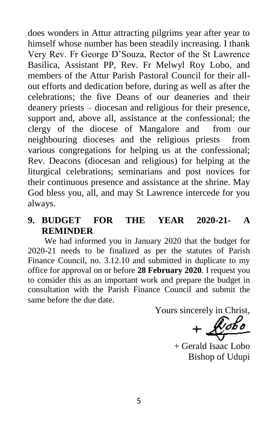does wonders in Attur attracting pilgrims year after year to himself whose number has been steadily increasing. I thank Very Rev. Fr George D'Souza, Rector of the St Lawrence Basilica, Assistant PP, Rev. Fr Melwyl Roy Lobo, and members of the Attur Parish Pastoral Council for their allout efforts and dedication before, during as well as after the celebrations; the five Deans of our deaneries and their deanery priests – diocesan and religious for their presence, support and, above all, assistance at the confessional; the clergy of the diocese of Mangalore and from our neighbouring dioceses and the religious priests from various congregations for helping us at the confessional; Rev. Deacons (diocesan and religious) for helping at the liturgical celebrations; seminarians and post novices for their continuous presence and assistance at the shrine. May God bless you, all, and may St Lawrence intercede for you always.

## **9. BUDGET FOR THE YEAR 2020-21- A REMINDER**

We had informed you in January 2020 that the budget for 2020-21 needs to be finalized as per the statutes of Parish Finance Council, no. 3.12.10 and submitted in duplicate to my office for approval on or before **28 February 2020**. I request you to consider this as an important work and prepare the budget in consultation with the Parish Finance Council and submit the same before the due date.

Yours sincerely in Christ,

+ Gerald Isaac Lobo Bishop of Udupi